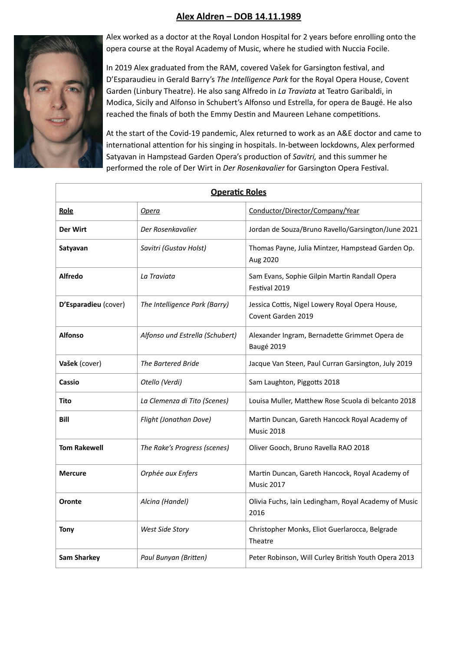## **Alex Aldren – DOB 14.11.1989**



Alex worked as a doctor at the Royal London Hospital for 2 years before enrolling onto the opera course at the Royal Academy of Music, where he studied with Nuccia Focile.

In 2019 Alex graduated from the RAM, covered Vašek for Garsington festival, and D'Esparaudieu in Gerald Barry's The Intelligence Park for the Royal Opera House, Covent Garden (Linbury Theatre). He also sang Alfredo in *La Traviata* at Teatro Garibaldi, in Modica, Sicily and Alfonso in Schubert's Alfonso und Estrella, for opera de Baugé. He also reached the finals of both the Emmy Destin and Maureen Lehane competitions.

At the start of the Covid-19 pandemic, Alex returned to work as an A&E doctor and came to international attention for his singing in hospitals. In-between lockdowns, Alex performed Satyavan in Hampstead Garden Opera's production of *Savitri*, and this summer he performed the role of Der Wirt in *Der Rosenkavalier* for Garsington Opera Festival.

| <b>Operatic Roles</b> |                                 |                                                                       |  |  |
|-----------------------|---------------------------------|-----------------------------------------------------------------------|--|--|
| Role                  | Opera                           | Conductor/Director/Company/Year                                       |  |  |
| Der Wirt              | Der Rosenkavalier               | Jordan de Souza/Bruno Ravello/Garsington/June 2021                    |  |  |
| Satyavan              | Savitri (Gustav Holst)          | Thomas Payne, Julia Mintzer, Hampstead Garden Op.<br>Aug 2020         |  |  |
| <b>Alfredo</b>        | La Traviata                     | Sam Evans, Sophie Gilpin Martin Randall Opera<br>Festival 2019        |  |  |
| D'Esparadieu (cover)  | The Intelligence Park (Barry)   | Jessica Cottis, Nigel Lowery Royal Opera House,<br>Covent Garden 2019 |  |  |
| <b>Alfonso</b>        | Alfonso und Estrella (Schubert) | Alexander Ingram, Bernadette Grimmet Opera de<br>Baugé 2019           |  |  |
| Vašek (cover)         | <b>The Bartered Bride</b>       | Jacque Van Steen, Paul Curran Garsington, July 2019                   |  |  |
| Cassio                | Otello (Verdi)                  | Sam Laughton, Piggotts 2018                                           |  |  |
| Tito                  | La Clemenza di Tito (Scenes)    | Louisa Muller, Matthew Rose Scuola di belcanto 2018                   |  |  |
| Bill                  | Flight (Jonathan Dove)          | Martin Duncan, Gareth Hancock Royal Academy of<br>Music 2018          |  |  |
| <b>Tom Rakewell</b>   | The Rake's Progress (scenes)    | Oliver Gooch, Bruno Ravella RAO 2018                                  |  |  |
| <b>Mercure</b>        | Orphée aux Enfers               | Martin Duncan, Gareth Hancock, Royal Academy of<br><b>Music 2017</b>  |  |  |
| Oronte                | Alcina (Handel)                 | Olivia Fuchs, Iain Ledingham, Royal Academy of Music<br>2016          |  |  |
| <b>Tony</b>           | West Side Story                 | Christopher Monks, Eliot Guerlarocca, Belgrade<br>Theatre             |  |  |
| <b>Sam Sharkey</b>    | Paul Bunyan (Britten)           | Peter Robinson, Will Curley British Youth Opera 2013                  |  |  |